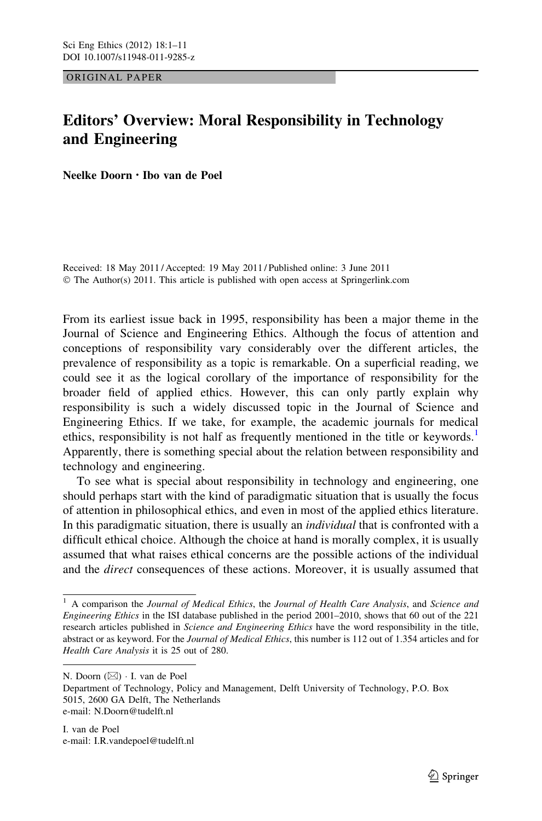ORIGINAL PAPER

# Editors' Overview: Moral Responsibility in Technology and Engineering

Neelke Doorn • Ibo van de Poel

Received: 18 May 2011 / Accepted: 19 May 2011 / Published online: 3 June 2011 © The Author(s) 2011. This article is published with open access at Springerlink.com

From its earliest issue back in 1995, responsibility has been a major theme in the Journal of Science and Engineering Ethics. Although the focus of attention and conceptions of responsibility vary considerably over the different articles, the prevalence of responsibility as a topic is remarkable. On a superficial reading, we could see it as the logical corollary of the importance of responsibility for the broader field of applied ethics. However, this can only partly explain why responsibility is such a widely discussed topic in the Journal of Science and Engineering Ethics. If we take, for example, the academic journals for medical ethics, responsibility is not half as frequently mentioned in the title or keywords.<sup>1</sup> Apparently, there is something special about the relation between responsibility and technology and engineering.

To see what is special about responsibility in technology and engineering, one should perhaps start with the kind of paradigmatic situation that is usually the focus of attention in philosophical ethics, and even in most of the applied ethics literature. In this paradigmatic situation, there is usually an *individual* that is confronted with a difficult ethical choice. Although the choice at hand is morally complex, it is usually assumed that what raises ethical concerns are the possible actions of the individual and the direct consequences of these actions. Moreover, it is usually assumed that

 $<sup>1</sup>$  A comparison the Journal of Medical Ethics, the Journal of Health Care Analysis, and Science and</sup> Engineering Ethics in the ISI database published in the period 2001–2010, shows that 60 out of the 221 research articles published in Science and Engineering Ethics have the word responsibility in the title, abstract or as keyword. For the Journal of Medical Ethics, this number is 112 out of 1.354 articles and for Health Care Analysis it is 25 out of 280.

N. Doorn (&) - I. van de Poel

Department of Technology, Policy and Management, Delft University of Technology, P.O. Box 5015, 2600 GA Delft, The Netherlands e-mail: N.Doorn@tudelft.nl

I. van de Poel e-mail: I.R.vandepoel@tudelft.nl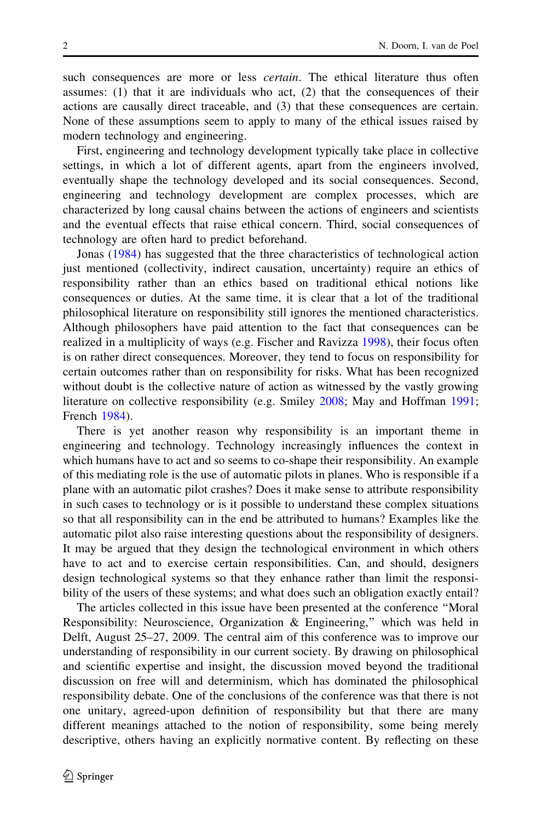such consequences are more or less *certain*. The ethical literature thus often assumes: (1) that it are individuals who act, (2) that the consequences of their actions are causally direct traceable, and (3) that these consequences are certain. None of these assumptions seem to apply to many of the ethical issues raised by modern technology and engineering.

First, engineering and technology development typically take place in collective settings, in which a lot of different agents, apart from the engineers involved, eventually shape the technology developed and its social consequences. Second, engineering and technology development are complex processes, which are characterized by long causal chains between the actions of engineers and scientists and the eventual effects that raise ethical concern. Third, social consequences of technology are often hard to predict beforehand.

Jonas [\(1984](#page-10-0)) has suggested that the three characteristics of technological action just mentioned (collectivity, indirect causation, uncertainty) require an ethics of responsibility rather than an ethics based on traditional ethical notions like consequences or duties. At the same time, it is clear that a lot of the traditional philosophical literature on responsibility still ignores the mentioned characteristics. Although philosophers have paid attention to the fact that consequences can be realized in a multiplicity of ways (e.g. Fischer and Ravizza [1998](#page-10-0)), their focus often is on rather direct consequences. Moreover, they tend to focus on responsibility for certain outcomes rather than on responsibility for risks. What has been recognized without doubt is the collective nature of action as witnessed by the vastly growing literature on collective responsibility (e.g. Smiley [2008](#page-10-0); May and Hoffman [1991;](#page-10-0) French [1984](#page-10-0)).

There is yet another reason why responsibility is an important theme in engineering and technology. Technology increasingly influences the context in which humans have to act and so seems to co-shape their responsibility. An example of this mediating role is the use of automatic pilots in planes. Who is responsible if a plane with an automatic pilot crashes? Does it make sense to attribute responsibility in such cases to technology or is it possible to understand these complex situations so that all responsibility can in the end be attributed to humans? Examples like the automatic pilot also raise interesting questions about the responsibility of designers. It may be argued that they design the technological environment in which others have to act and to exercise certain responsibilities. Can, and should, designers design technological systems so that they enhance rather than limit the responsibility of the users of these systems; and what does such an obligation exactly entail?

The articles collected in this issue have been presented at the conference ''Moral Responsibility: Neuroscience, Organization & Engineering,'' which was held in Delft, August 25–27, 2009. The central aim of this conference was to improve our understanding of responsibility in our current society. By drawing on philosophical and scientific expertise and insight, the discussion moved beyond the traditional discussion on free will and determinism, which has dominated the philosophical responsibility debate. One of the conclusions of the conference was that there is not one unitary, agreed-upon definition of responsibility but that there are many different meanings attached to the notion of responsibility, some being merely descriptive, others having an explicitly normative content. By reflecting on these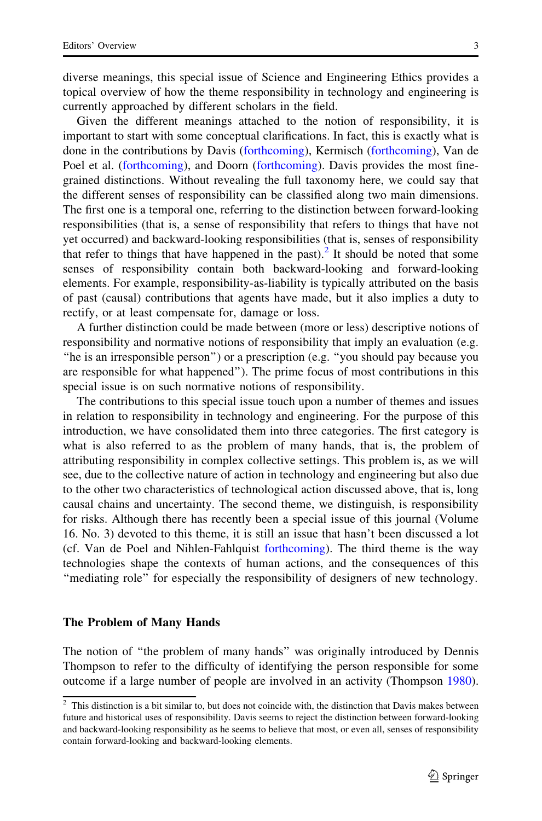diverse meanings, this special issue of Science and Engineering Ethics provides a topical overview of how the theme responsibility in technology and engineering is currently approached by different scholars in the field.

Given the different meanings attached to the notion of responsibility, it is important to start with some conceptual clarifications. In fact, this is exactly what is done in the contributions by Davis ([forthcoming](#page-10-0)), Kermisch [\(forthcoming\)](#page-10-0), Van de Poel et al. [\(forthcoming\)](#page-10-0), and Doorn [\(forthcoming\)](#page-10-0). Davis provides the most finegrained distinctions. Without revealing the full taxonomy here, we could say that the different senses of responsibility can be classified along two main dimensions. The first one is a temporal one, referring to the distinction between forward-looking responsibilities (that is, a sense of responsibility that refers to things that have not yet occurred) and backward-looking responsibilities (that is, senses of responsibility that refer to things that have happened in the past).<sup>2</sup> It should be noted that some senses of responsibility contain both backward-looking and forward-looking elements. For example, responsibility-as-liability is typically attributed on the basis of past (causal) contributions that agents have made, but it also implies a duty to rectify, or at least compensate for, damage or loss.

A further distinction could be made between (more or less) descriptive notions of responsibility and normative notions of responsibility that imply an evaluation (e.g. ''he is an irresponsible person'') or a prescription (e.g. ''you should pay because you are responsible for what happened''). The prime focus of most contributions in this special issue is on such normative notions of responsibility.

The contributions to this special issue touch upon a number of themes and issues in relation to responsibility in technology and engineering. For the purpose of this introduction, we have consolidated them into three categories. The first category is what is also referred to as the problem of many hands, that is, the problem of attributing responsibility in complex collective settings. This problem is, as we will see, due to the collective nature of action in technology and engineering but also due to the other two characteristics of technological action discussed above, that is, long causal chains and uncertainty. The second theme, we distinguish, is responsibility for risks. Although there has recently been a special issue of this journal (Volume 16. No. 3) devoted to this theme, it is still an issue that hasn't been discussed a lot (cf. Van de Poel and Nihlen-Fahlquist [forthcoming](#page-10-0)). The third theme is the way technologies shape the contexts of human actions, and the consequences of this ''mediating role'' for especially the responsibility of designers of new technology.

#### The Problem of Many Hands

The notion of ''the problem of many hands'' was originally introduced by Dennis Thompson to refer to the difficulty of identifying the person responsible for some outcome if a large number of people are involved in an activity (Thompson [1980\)](#page-10-0).

 $2$  This distinction is a bit similar to, but does not coincide with, the distinction that Davis makes between future and historical uses of responsibility. Davis seems to reject the distinction between forward-looking and backward-looking responsibility as he seems to believe that most, or even all, senses of responsibility contain forward-looking and backward-looking elements.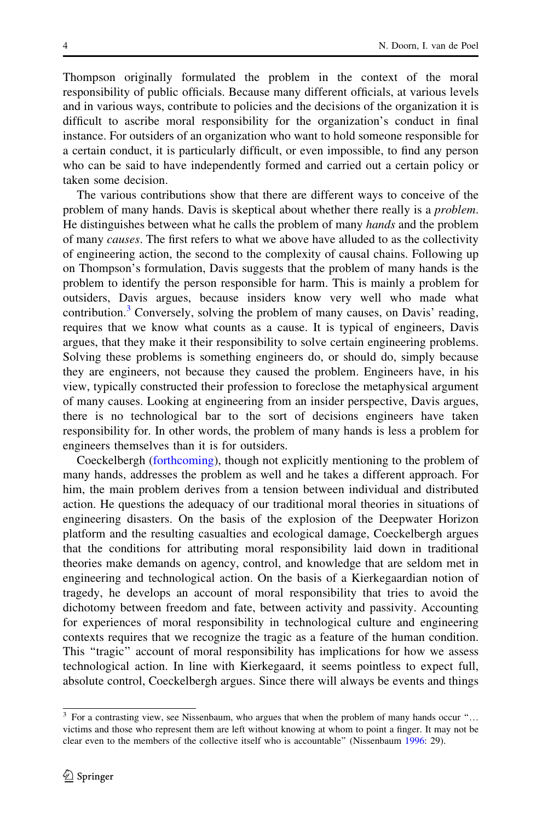Thompson originally formulated the problem in the context of the moral responsibility of public officials. Because many different officials, at various levels and in various ways, contribute to policies and the decisions of the organization it is difficult to ascribe moral responsibility for the organization's conduct in final instance. For outsiders of an organization who want to hold someone responsible for a certain conduct, it is particularly difficult, or even impossible, to find any person who can be said to have independently formed and carried out a certain policy or taken some decision.

The various contributions show that there are different ways to conceive of the problem of many hands. Davis is skeptical about whether there really is a *problem*. He distinguishes between what he calls the problem of many *hands* and the problem of many causes. The first refers to what we above have alluded to as the collectivity of engineering action, the second to the complexity of causal chains. Following up on Thompson's formulation, Davis suggests that the problem of many hands is the problem to identify the person responsible for harm. This is mainly a problem for outsiders, Davis argues, because insiders know very well who made what contribution.<sup>3</sup> Conversely, solving the problem of many causes, on Davis' reading, requires that we know what counts as a cause. It is typical of engineers, Davis argues, that they make it their responsibility to solve certain engineering problems. Solving these problems is something engineers do, or should do, simply because they are engineers, not because they caused the problem. Engineers have, in his view, typically constructed their profession to foreclose the metaphysical argument of many causes. Looking at engineering from an insider perspective, Davis argues, there is no technological bar to the sort of decisions engineers have taken responsibility for. In other words, the problem of many hands is less a problem for engineers themselves than it is for outsiders.

Coeckelbergh [\(forthcoming\)](#page-10-0), though not explicitly mentioning to the problem of many hands, addresses the problem as well and he takes a different approach. For him, the main problem derives from a tension between individual and distributed action. He questions the adequacy of our traditional moral theories in situations of engineering disasters. On the basis of the explosion of the Deepwater Horizon platform and the resulting casualties and ecological damage, Coeckelbergh argues that the conditions for attributing moral responsibility laid down in traditional theories make demands on agency, control, and knowledge that are seldom met in engineering and technological action. On the basis of a Kierkegaardian notion of tragedy, he develops an account of moral responsibility that tries to avoid the dichotomy between freedom and fate, between activity and passivity. Accounting for experiences of moral responsibility in technological culture and engineering contexts requires that we recognize the tragic as a feature of the human condition. This ''tragic'' account of moral responsibility has implications for how we assess technological action. In line with Kierkegaard, it seems pointless to expect full, absolute control, Coeckelbergh argues. Since there will always be events and things

<sup>&</sup>lt;sup>3</sup> For a contrasting view, see Nissenbaum, who argues that when the problem of many hands occur "... victims and those who represent them are left without knowing at whom to point a finger. It may not be clear even to the members of the collective itself who is accountable'' (Nissenbaum [1996](#page-10-0): 29).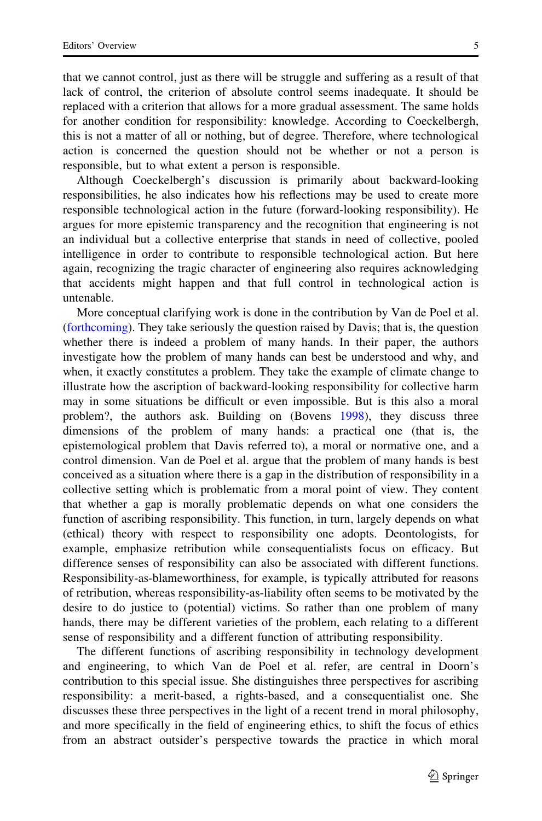that we cannot control, just as there will be struggle and suffering as a result of that lack of control, the criterion of absolute control seems inadequate. It should be replaced with a criterion that allows for a more gradual assessment. The same holds for another condition for responsibility: knowledge. According to Coeckelbergh, this is not a matter of all or nothing, but of degree. Therefore, where technological action is concerned the question should not be whether or not a person is responsible, but to what extent a person is responsible.

Although Coeckelbergh's discussion is primarily about backward-looking responsibilities, he also indicates how his reflections may be used to create more responsible technological action in the future (forward-looking responsibility). He argues for more epistemic transparency and the recognition that engineering is not an individual but a collective enterprise that stands in need of collective, pooled intelligence in order to contribute to responsible technological action. But here again, recognizing the tragic character of engineering also requires acknowledging that accidents might happen and that full control in technological action is untenable.

More conceptual clarifying work is done in the contribution by Van de Poel et al. [\(forthcoming\)](#page-10-0). They take seriously the question raised by Davis; that is, the question whether there is indeed a problem of many hands. In their paper, the authors investigate how the problem of many hands can best be understood and why, and when, it exactly constitutes a problem. They take the example of climate change to illustrate how the ascription of backward-looking responsibility for collective harm may in some situations be difficult or even impossible. But is this also a moral problem?, the authors ask. Building on (Bovens [1998\)](#page-10-0), they discuss three dimensions of the problem of many hands: a practical one (that is, the epistemological problem that Davis referred to), a moral or normative one, and a control dimension. Van de Poel et al. argue that the problem of many hands is best conceived as a situation where there is a gap in the distribution of responsibility in a collective setting which is problematic from a moral point of view. They content that whether a gap is morally problematic depends on what one considers the function of ascribing responsibility. This function, in turn, largely depends on what (ethical) theory with respect to responsibility one adopts. Deontologists, for example, emphasize retribution while consequentialists focus on efficacy. But difference senses of responsibility can also be associated with different functions. Responsibility-as-blameworthiness, for example, is typically attributed for reasons of retribution, whereas responsibility-as-liability often seems to be motivated by the desire to do justice to (potential) victims. So rather than one problem of many hands, there may be different varieties of the problem, each relating to a different sense of responsibility and a different function of attributing responsibility.

The different functions of ascribing responsibility in technology development and engineering, to which Van de Poel et al. refer, are central in Doorn's contribution to this special issue. She distinguishes three perspectives for ascribing responsibility: a merit-based, a rights-based, and a consequentialist one. She discusses these three perspectives in the light of a recent trend in moral philosophy, and more specifically in the field of engineering ethics, to shift the focus of ethics from an abstract outsider's perspective towards the practice in which moral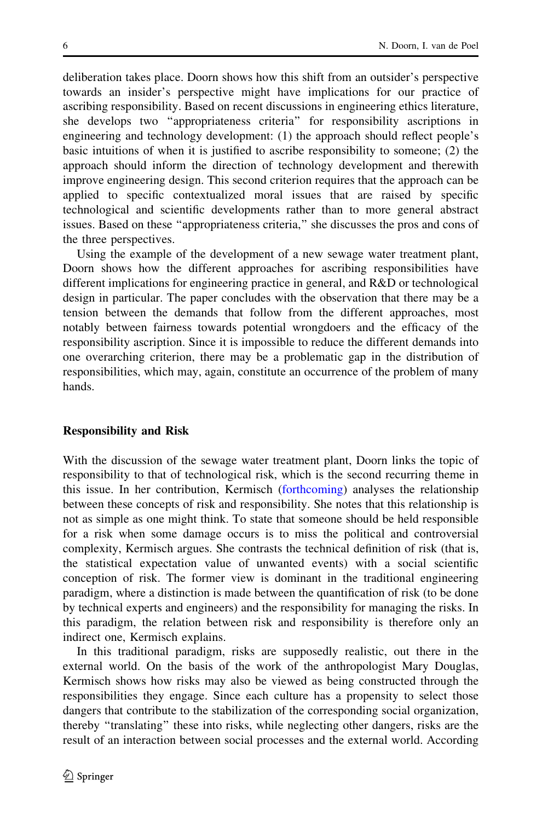deliberation takes place. Doorn shows how this shift from an outsider's perspective towards an insider's perspective might have implications for our practice of ascribing responsibility. Based on recent discussions in engineering ethics literature, she develops two ''appropriateness criteria'' for responsibility ascriptions in engineering and technology development: (1) the approach should reflect people's basic intuitions of when it is justified to ascribe responsibility to someone; (2) the approach should inform the direction of technology development and therewith improve engineering design. This second criterion requires that the approach can be applied to specific contextualized moral issues that are raised by specific technological and scientific developments rather than to more general abstract issues. Based on these ''appropriateness criteria,'' she discusses the pros and cons of the three perspectives.

Using the example of the development of a new sewage water treatment plant, Doorn shows how the different approaches for ascribing responsibilities have different implications for engineering practice in general, and R&D or technological design in particular. The paper concludes with the observation that there may be a tension between the demands that follow from the different approaches, most notably between fairness towards potential wrongdoers and the efficacy of the responsibility ascription. Since it is impossible to reduce the different demands into one overarching criterion, there may be a problematic gap in the distribution of responsibilities, which may, again, constitute an occurrence of the problem of many hands.

### Responsibility and Risk

With the discussion of the sewage water treatment plant, Doorn links the topic of responsibility to that of technological risk, which is the second recurring theme in this issue. In her contribution, Kermisch ([forthcoming](#page-10-0)) analyses the relationship between these concepts of risk and responsibility. She notes that this relationship is not as simple as one might think. To state that someone should be held responsible for a risk when some damage occurs is to miss the political and controversial complexity, Kermisch argues. She contrasts the technical definition of risk (that is, the statistical expectation value of unwanted events) with a social scientific conception of risk. The former view is dominant in the traditional engineering paradigm, where a distinction is made between the quantification of risk (to be done by technical experts and engineers) and the responsibility for managing the risks. In this paradigm, the relation between risk and responsibility is therefore only an indirect one, Kermisch explains.

In this traditional paradigm, risks are supposedly realistic, out there in the external world. On the basis of the work of the anthropologist Mary Douglas, Kermisch shows how risks may also be viewed as being constructed through the responsibilities they engage. Since each culture has a propensity to select those dangers that contribute to the stabilization of the corresponding social organization, thereby ''translating'' these into risks, while neglecting other dangers, risks are the result of an interaction between social processes and the external world. According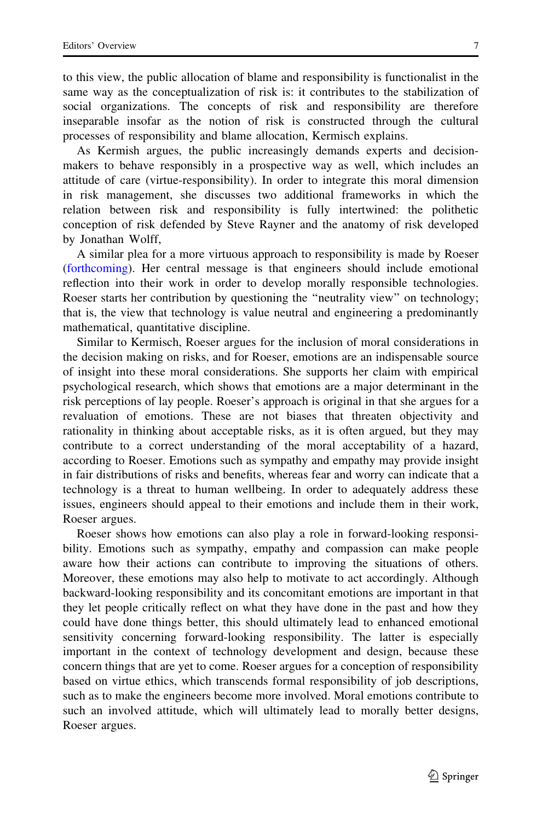to this view, the public allocation of blame and responsibility is functionalist in the same way as the conceptualization of risk is: it contributes to the stabilization of social organizations. The concepts of risk and responsibility are therefore inseparable insofar as the notion of risk is constructed through the cultural processes of responsibility and blame allocation, Kermisch explains.

As Kermish argues, the public increasingly demands experts and decisionmakers to behave responsibly in a prospective way as well, which includes an attitude of care (virtue-responsibility). In order to integrate this moral dimension in risk management, she discusses two additional frameworks in which the relation between risk and responsibility is fully intertwined: the polithetic conception of risk defended by Steve Rayner and the anatomy of risk developed by Jonathan Wolff,

A similar plea for a more virtuous approach to responsibility is made by Roeser [\(forthcoming\)](#page-10-0). Her central message is that engineers should include emotional reflection into their work in order to develop morally responsible technologies. Roeser starts her contribution by questioning the ''neutrality view'' on technology; that is, the view that technology is value neutral and engineering a predominantly mathematical, quantitative discipline.

Similar to Kermisch, Roeser argues for the inclusion of moral considerations in the decision making on risks, and for Roeser, emotions are an indispensable source of insight into these moral considerations. She supports her claim with empirical psychological research, which shows that emotions are a major determinant in the risk perceptions of lay people. Roeser's approach is original in that she argues for a revaluation of emotions. These are not biases that threaten objectivity and rationality in thinking about acceptable risks, as it is often argued, but they may contribute to a correct understanding of the moral acceptability of a hazard, according to Roeser. Emotions such as sympathy and empathy may provide insight in fair distributions of risks and benefits, whereas fear and worry can indicate that a technology is a threat to human wellbeing. In order to adequately address these issues, engineers should appeal to their emotions and include them in their work, Roeser argues.

Roeser shows how emotions can also play a role in forward-looking responsibility. Emotions such as sympathy, empathy and compassion can make people aware how their actions can contribute to improving the situations of others. Moreover, these emotions may also help to motivate to act accordingly. Although backward-looking responsibility and its concomitant emotions are important in that they let people critically reflect on what they have done in the past and how they could have done things better, this should ultimately lead to enhanced emotional sensitivity concerning forward-looking responsibility. The latter is especially important in the context of technology development and design, because these concern things that are yet to come. Roeser argues for a conception of responsibility based on virtue ethics, which transcends formal responsibility of job descriptions, such as to make the engineers become more involved. Moral emotions contribute to such an involved attitude, which will ultimately lead to morally better designs, Roeser argues.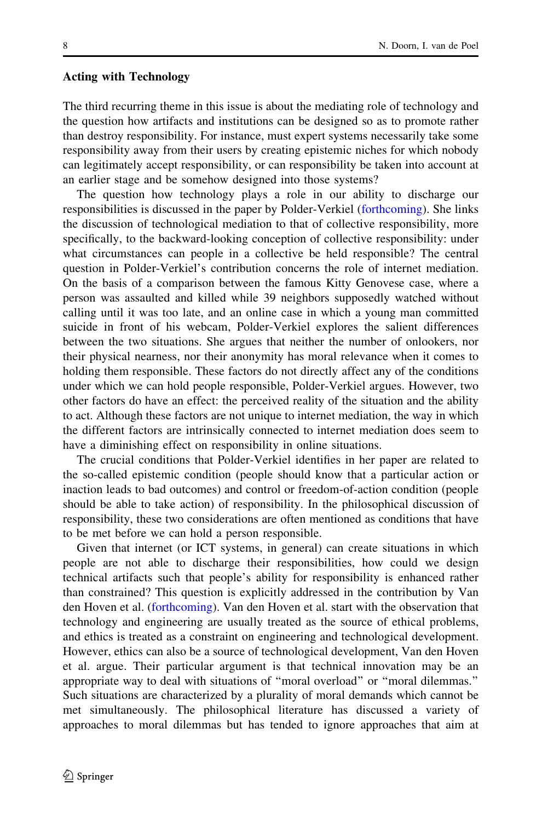#### Acting with Technology

The third recurring theme in this issue is about the mediating role of technology and the question how artifacts and institutions can be designed so as to promote rather than destroy responsibility. For instance, must expert systems necessarily take some responsibility away from their users by creating epistemic niches for which nobody can legitimately accept responsibility, or can responsibility be taken into account at an earlier stage and be somehow designed into those systems?

The question how technology plays a role in our ability to discharge our responsibilities is discussed in the paper by Polder-Verkiel [\(forthcoming\)](#page-10-0). She links the discussion of technological mediation to that of collective responsibility, more specifically, to the backward-looking conception of collective responsibility: under what circumstances can people in a collective be held responsible? The central question in Polder-Verkiel's contribution concerns the role of internet mediation. On the basis of a comparison between the famous Kitty Genovese case, where a person was assaulted and killed while 39 neighbors supposedly watched without calling until it was too late, and an online case in which a young man committed suicide in front of his webcam, Polder-Verkiel explores the salient differences between the two situations. She argues that neither the number of onlookers, nor their physical nearness, nor their anonymity has moral relevance when it comes to holding them responsible. These factors do not directly affect any of the conditions under which we can hold people responsible, Polder-Verkiel argues. However, two other factors do have an effect: the perceived reality of the situation and the ability to act. Although these factors are not unique to internet mediation, the way in which the different factors are intrinsically connected to internet mediation does seem to have a diminishing effect on responsibility in online situations.

The crucial conditions that Polder-Verkiel identifies in her paper are related to the so-called epistemic condition (people should know that a particular action or inaction leads to bad outcomes) and control or freedom-of-action condition (people should be able to take action) of responsibility. In the philosophical discussion of responsibility, these two considerations are often mentioned as conditions that have to be met before we can hold a person responsible.

Given that internet (or ICT systems, in general) can create situations in which people are not able to discharge their responsibilities, how could we design technical artifacts such that people's ability for responsibility is enhanced rather than constrained? This question is explicitly addressed in the contribution by Van den Hoven et al. ([forthcoming](#page-10-0)). Van den Hoven et al. start with the observation that technology and engineering are usually treated as the source of ethical problems, and ethics is treated as a constraint on engineering and technological development. However, ethics can also be a source of technological development, Van den Hoven et al. argue. Their particular argument is that technical innovation may be an appropriate way to deal with situations of ''moral overload'' or ''moral dilemmas.'' Such situations are characterized by a plurality of moral demands which cannot be met simultaneously. The philosophical literature has discussed a variety of approaches to moral dilemmas but has tended to ignore approaches that aim at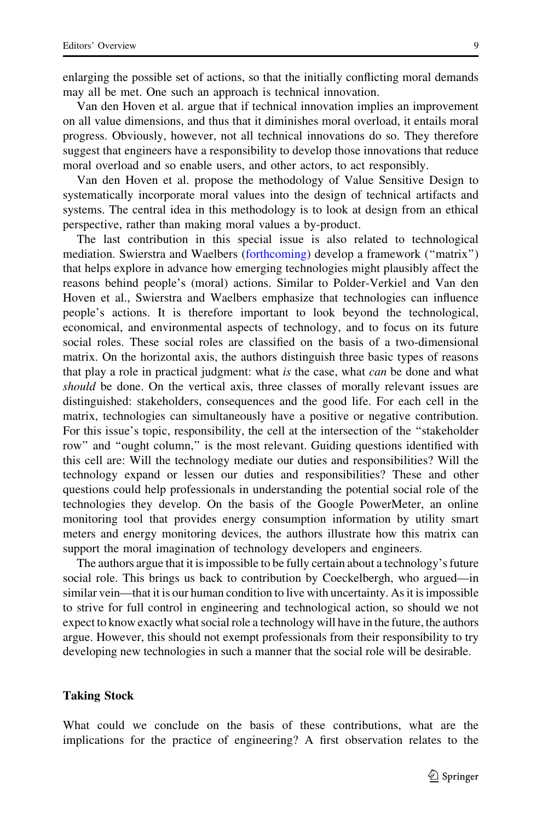Van den Hoven et al. argue that if technical innovation implies an improvement on all value dimensions, and thus that it diminishes moral overload, it entails moral progress. Obviously, however, not all technical innovations do so. They therefore suggest that engineers have a responsibility to develop those innovations that reduce moral overload and so enable users, and other actors, to act responsibly.

Van den Hoven et al. propose the methodology of Value Sensitive Design to systematically incorporate moral values into the design of technical artifacts and systems. The central idea in this methodology is to look at design from an ethical perspective, rather than making moral values a by-product.

The last contribution in this special issue is also related to technological mediation. Swierstra and Waelbers [\(forthcoming\)](#page-10-0) develop a framework (''matrix'') that helps explore in advance how emerging technologies might plausibly affect the reasons behind people's (moral) actions. Similar to Polder-Verkiel and Van den Hoven et al., Swierstra and Waelbers emphasize that technologies can influence people's actions. It is therefore important to look beyond the technological, economical, and environmental aspects of technology, and to focus on its future social roles. These social roles are classified on the basis of a two-dimensional matrix. On the horizontal axis, the authors distinguish three basic types of reasons that play a role in practical judgment: what is the case, what *can* be done and what should be done. On the vertical axis, three classes of morally relevant issues are distinguished: stakeholders, consequences and the good life. For each cell in the matrix, technologies can simultaneously have a positive or negative contribution. For this issue's topic, responsibility, the cell at the intersection of the "stakeholder" row" and "ought column," is the most relevant. Guiding questions identified with this cell are: Will the technology mediate our duties and responsibilities? Will the technology expand or lessen our duties and responsibilities? These and other questions could help professionals in understanding the potential social role of the technologies they develop. On the basis of the Google PowerMeter, an online monitoring tool that provides energy consumption information by utility smart meters and energy monitoring devices, the authors illustrate how this matrix can support the moral imagination of technology developers and engineers.

The authors argue that it is impossible to be fully certain about a technology's future social role. This brings us back to contribution by Coeckelbergh, who argued—in similar vein—that it is our human condition to live with uncertainty. As it is impossible to strive for full control in engineering and technological action, so should we not expect to know exactly what social role a technology will have in the future, the authors argue. However, this should not exempt professionals from their responsibility to try developing new technologies in such a manner that the social role will be desirable.

## Taking Stock

What could we conclude on the basis of these contributions, what are the implications for the practice of engineering? A first observation relates to the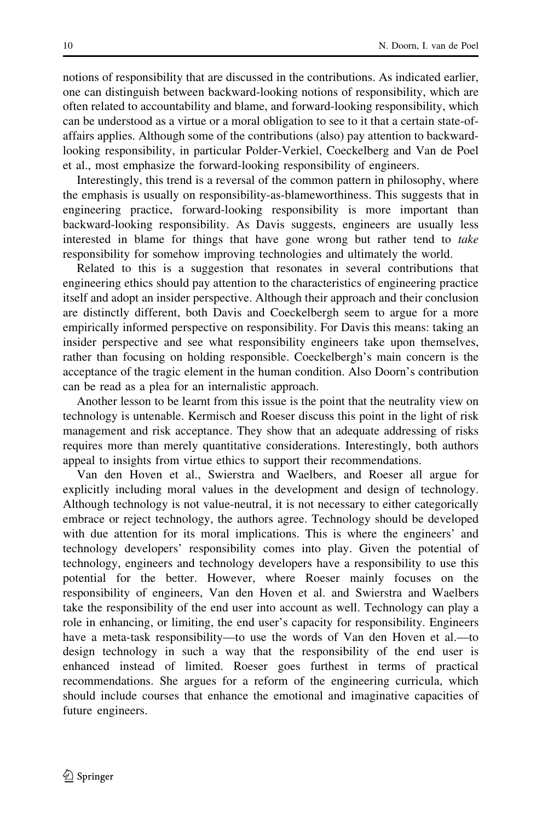notions of responsibility that are discussed in the contributions. As indicated earlier, one can distinguish between backward-looking notions of responsibility, which are often related to accountability and blame, and forward-looking responsibility, which can be understood as a virtue or a moral obligation to see to it that a certain state-ofaffairs applies. Although some of the contributions (also) pay attention to backwardlooking responsibility, in particular Polder-Verkiel, Coeckelberg and Van de Poel et al., most emphasize the forward-looking responsibility of engineers.

Interestingly, this trend is a reversal of the common pattern in philosophy, where the emphasis is usually on responsibility-as-blameworthiness. This suggests that in engineering practice, forward-looking responsibility is more important than backward-looking responsibility. As Davis suggests, engineers are usually less interested in blame for things that have gone wrong but rather tend to *take* responsibility for somehow improving technologies and ultimately the world.

Related to this is a suggestion that resonates in several contributions that engineering ethics should pay attention to the characteristics of engineering practice itself and adopt an insider perspective. Although their approach and their conclusion are distinctly different, both Davis and Coeckelbergh seem to argue for a more empirically informed perspective on responsibility. For Davis this means: taking an insider perspective and see what responsibility engineers take upon themselves, rather than focusing on holding responsible. Coeckelbergh's main concern is the acceptance of the tragic element in the human condition. Also Doorn's contribution can be read as a plea for an internalistic approach.

Another lesson to be learnt from this issue is the point that the neutrality view on technology is untenable. Kermisch and Roeser discuss this point in the light of risk management and risk acceptance. They show that an adequate addressing of risks requires more than merely quantitative considerations. Interestingly, both authors appeal to insights from virtue ethics to support their recommendations.

Van den Hoven et al., Swierstra and Waelbers, and Roeser all argue for explicitly including moral values in the development and design of technology. Although technology is not value-neutral, it is not necessary to either categorically embrace or reject technology, the authors agree. Technology should be developed with due attention for its moral implications. This is where the engineers' and technology developers' responsibility comes into play. Given the potential of technology, engineers and technology developers have a responsibility to use this potential for the better. However, where Roeser mainly focuses on the responsibility of engineers, Van den Hoven et al. and Swierstra and Waelbers take the responsibility of the end user into account as well. Technology can play a role in enhancing, or limiting, the end user's capacity for responsibility. Engineers have a meta-task responsibility—to use the words of Van den Hoven et al.—to design technology in such a way that the responsibility of the end user is enhanced instead of limited. Roeser goes furthest in terms of practical recommendations. She argues for a reform of the engineering curricula, which should include courses that enhance the emotional and imaginative capacities of future engineers.